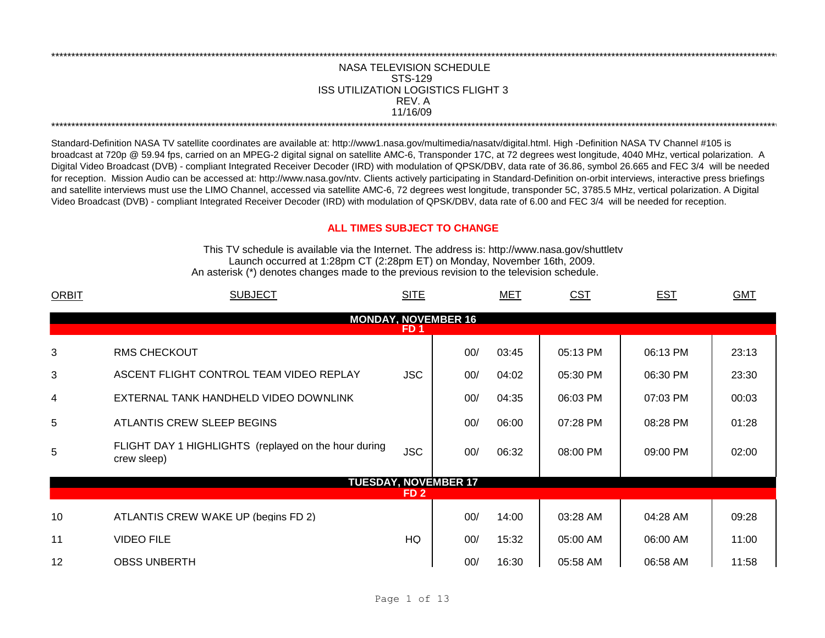## **NASA TELEVISION SCHEDULE** STS-129 **ISS UTILIZATION LOGISTICS FLIGHT 3** REV. A 11/16/09

Standard-Definition NASA TV satellite coordinates are available at: http://www1.nasa.gov/multimedia/nasatv/digital.html. High -Definition NASA TV Channel #105 is broadcast at 720p @ 59.94 fps, carried on an MPEG-2 digital signal on satellite AMC-6, Transponder 17C, at 72 degrees west longitude, 4040 MHz, vertical polarization. A Digital Video Broadcast (DVB) - compliant Integrated Receiver Decoder (IRD) with modulation of QPSK/DBV, data rate of 36.86, symbol 26.665 and FEC 3/4 will be needed for reception. Mission Audio can be accessed at: http://www.nasa.gov/ntv. Clients actively participating in Standard-Definition on-orbit interviews, interactive press briefings and satellite interviews must use the LIMO Channel, accessed via satellite AMC-6, 72 degrees west longitude, transponder 5C, 3785.5 MHz, vertical polarization. A Digital Video Broadcast (DVB) - compliant Integrated Receiver Decoder (IRD) with modulation of QPSK/DBV, data rate of 6.00 and FEC 3/4 will be needed for reception.

## **ALL TIMES SUBJECT TO CHANGE**

This TV schedule is available via the Internet. The address is: http://www.nasa.gov/shuttletv Launch occurred at 1:28pm CT (2:28pm ET) on Monday, November 16th, 2009. An asterisk (\*) denotes changes made to the previous revision to the television schedule.

| <b>ORBIT</b>                                  | <b>SUBJECT</b>                                                      | <b>SITE</b>     |                             | <b>MET</b> | <u>CST</u> | <b>EST</b> | <b>GMT</b> |  |  |  |
|-----------------------------------------------|---------------------------------------------------------------------|-----------------|-----------------------------|------------|------------|------------|------------|--|--|--|
| <b>MONDAY, NOVEMBER 16</b><br>FD <sub>1</sub> |                                                                     |                 |                             |            |            |            |            |  |  |  |
| 3                                             | <b>RMS CHECKOUT</b>                                                 |                 | 00/                         | 03:45      | 05:13 PM   | 06:13 PM   | 23:13      |  |  |  |
| 3                                             | ASCENT FLIGHT CONTROL TEAM VIDEO REPLAY                             | <b>JSC</b>      | 00/                         | 04:02      | 05:30 PM   | 06:30 PM   | 23:30      |  |  |  |
| 4                                             | EXTERNAL TANK HANDHELD VIDEO DOWNLINK                               |                 | 00/                         | 04:35      | 06:03 PM   | 07:03 PM   | 00:03      |  |  |  |
| 5                                             | ATLANTIS CREW SLEEP BEGINS                                          |                 | 00/                         | 06:00      | 07:28 PM   | 08:28 PM   | 01:28      |  |  |  |
| 5                                             | FLIGHT DAY 1 HIGHLIGHTS (replayed on the hour during<br>crew sleep) | <b>JSC</b>      | 00/                         | 06:32      | 08:00 PM   | 09:00 PM   | 02:00      |  |  |  |
|                                               |                                                                     |                 | <b>TUESDAY, NOVEMBER 17</b> |            |            |            |            |  |  |  |
|                                               |                                                                     | FD <sub>2</sub> |                             |            |            |            |            |  |  |  |
| 10                                            | ATLANTIS CREW WAKE UP (begins FD 2)                                 |                 | 00/                         | 14:00      | 03:28 AM   | 04:28 AM   | 09:28      |  |  |  |
| 11                                            | <b>VIDEO FILE</b>                                                   | HQ              | 00/                         | 15:32      | 05:00 AM   | 06:00 AM   | 11:00      |  |  |  |
| 12                                            | <b>OBSS UNBERTH</b>                                                 |                 | 00/                         | 16:30      | 05:58 AM   | 06:58 AM   | 11:58      |  |  |  |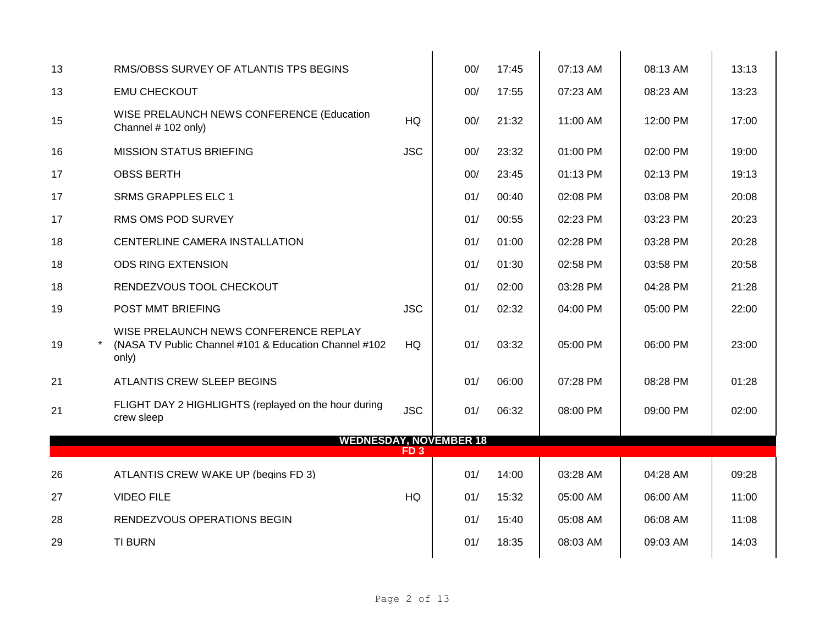| RMS/OBSS SURVEY OF ATLANTIS TPS BEGINS                                                                  |            | 00/             | 17:45 | 07:13 AM                      | 08:13 AM | 13:13 |
|---------------------------------------------------------------------------------------------------------|------------|-----------------|-------|-------------------------------|----------|-------|
| <b>EMU CHECKOUT</b>                                                                                     |            | 00/             | 17:55 | 07:23 AM                      | 08:23 AM | 13:23 |
| WISE PRELAUNCH NEWS CONFERENCE (Education<br>Channel # 102 only)                                        | HQ         | 00/             | 21:32 | 11:00 AM                      | 12:00 PM | 17:00 |
| <b>MISSION STATUS BRIEFING</b>                                                                          | <b>JSC</b> | 00/             | 23:32 | 01:00 PM                      | 02:00 PM | 19:00 |
| <b>OBSS BERTH</b>                                                                                       |            | 00/             | 23:45 | 01:13 PM                      | 02:13 PM | 19:13 |
| <b>SRMS GRAPPLES ELC 1</b>                                                                              |            | 01/             | 00:40 | 02:08 PM                      | 03:08 PM | 20:08 |
| RMS OMS POD SURVEY                                                                                      |            | 01/             | 00:55 | 02:23 PM                      | 03:23 PM | 20:23 |
| CENTERLINE CAMERA INSTALLATION                                                                          |            | 01/             | 01:00 | 02:28 PM                      | 03:28 PM | 20:28 |
| <b>ODS RING EXTENSION</b>                                                                               |            | 01/             | 01:30 | 02:58 PM                      | 03:58 PM | 20:58 |
| RENDEZVOUS TOOL CHECKOUT                                                                                |            | 01/             | 02:00 | 03:28 PM                      | 04:28 PM | 21:28 |
| POST MMT BRIEFING                                                                                       | <b>JSC</b> | 01/             | 02:32 | 04:00 PM                      | 05:00 PM | 22:00 |
| WISE PRELAUNCH NEWS CONFERENCE REPLAY<br>(NASA TV Public Channel #101 & Education Channel #102<br>only) | HQ         | 01/             | 03:32 | 05:00 PM                      | 06:00 PM | 23:00 |
| ATLANTIS CREW SLEEP BEGINS                                                                              |            | 01/             | 06:00 | 07:28 PM                      | 08:28 PM | 01:28 |
| FLIGHT DAY 2 HIGHLIGHTS (replayed on the hour during<br>crew sleep                                      | <b>JSC</b> | 01/             | 06:32 | 08:00 PM                      | 09:00 PM | 02:00 |
|                                                                                                         |            |                 |       |                               |          |       |
|                                                                                                         |            |                 |       |                               |          |       |
| ATLANTIS CREW WAKE UP (begins FD 3)                                                                     |            | 01/             | 14:00 | 03:28 AM                      | 04:28 AM | 09:28 |
| <b>VIDEO FILE</b>                                                                                       | HQ         | 01/             | 15:32 | 05:00 AM                      | 06:00 AM | 11:00 |
| RENDEZVOUS OPERATIONS BEGIN                                                                             |            | 01/             | 15:40 | 05:08 AM                      | 06:08 AM | 11:08 |
| <b>TI BURN</b>                                                                                          |            | 01/             | 18:35 | 08:03 AM                      | 09:03 AM | 14:03 |
|                                                                                                         |            | FD <sub>3</sub> |       | <b>WEDNESDAY, NOVEMBER 18</b> |          |       |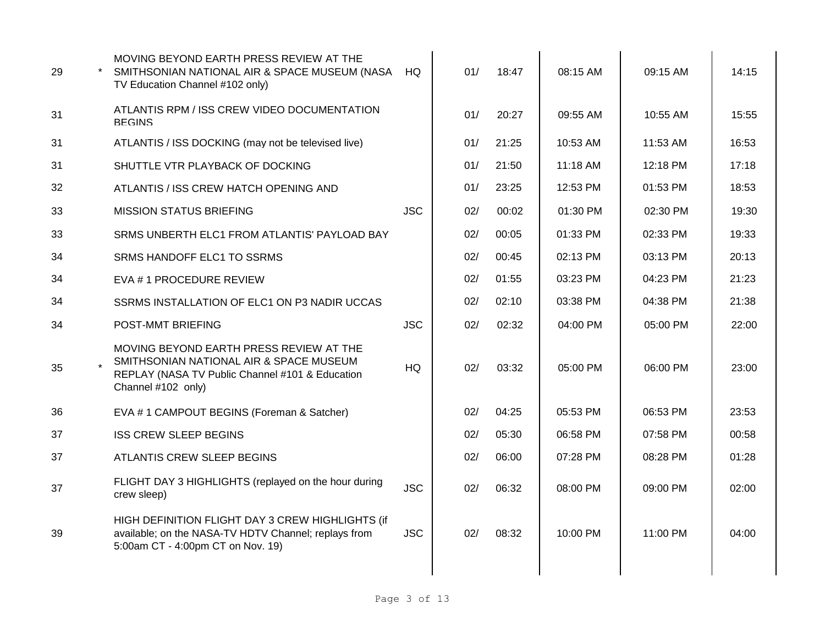| 29 | MOVING BEYOND EARTH PRESS REVIEW AT THE<br>SMITHSONIAN NATIONAL AIR & SPACE MUSEUM (NASA<br>TV Education Channel #102 only)                                 | HQ.        | 01/ | 18:47 | 08:15 AM | 09:15 AM | 14:15 |
|----|-------------------------------------------------------------------------------------------------------------------------------------------------------------|------------|-----|-------|----------|----------|-------|
| 31 | ATLANTIS RPM / ISS CREW VIDEO DOCUMENTATION<br><b>BEGINS</b>                                                                                                |            | 01/ | 20:27 | 09:55 AM | 10:55 AM | 15:55 |
| 31 | ATLANTIS / ISS DOCKING (may not be televised live)                                                                                                          |            | 01/ | 21:25 | 10:53 AM | 11:53 AM | 16:53 |
| 31 | SHUTTLE VTR PLAYBACK OF DOCKING                                                                                                                             |            | 01/ | 21:50 | 11:18 AM | 12:18 PM | 17:18 |
| 32 | ATLANTIS / ISS CREW HATCH OPENING AND                                                                                                                       |            | 01/ | 23:25 | 12:53 PM | 01:53 PM | 18:53 |
| 33 | <b>MISSION STATUS BRIEFING</b>                                                                                                                              | <b>JSC</b> | 02/ | 00:02 | 01:30 PM | 02:30 PM | 19:30 |
| 33 | SRMS UNBERTH ELC1 FROM ATLANTIS' PAYLOAD BAY                                                                                                                |            | 02/ | 00:05 | 01:33 PM | 02:33 PM | 19:33 |
| 34 | SRMS HANDOFF ELC1 TO SSRMS                                                                                                                                  |            | 02/ | 00:45 | 02:13 PM | 03:13 PM | 20:13 |
| 34 | EVA # 1 PROCEDURE REVIEW                                                                                                                                    |            | 02/ | 01:55 | 03:23 PM | 04:23 PM | 21:23 |
| 34 | SSRMS INSTALLATION OF ELC1 ON P3 NADIR UCCAS                                                                                                                |            | 02/ | 02:10 | 03:38 PM | 04:38 PM | 21:38 |
| 34 | POST-MMT BRIEFING                                                                                                                                           | <b>JSC</b> | 02/ | 02:32 | 04:00 PM | 05:00 PM | 22:00 |
| 35 | MOVING BEYOND EARTH PRESS REVIEW AT THE<br>SMITHSONIAN NATIONAL AIR & SPACE MUSEUM<br>REPLAY (NASA TV Public Channel #101 & Education<br>Channel #102 only) | <b>HQ</b>  | 02/ | 03:32 | 05:00 PM | 06:00 PM | 23:00 |
| 36 | EVA #1 CAMPOUT BEGINS (Foreman & Satcher)                                                                                                                   |            | 02/ | 04:25 | 05:53 PM | 06:53 PM | 23:53 |
| 37 | <b>ISS CREW SLEEP BEGINS</b>                                                                                                                                |            | 02/ | 05:30 | 06:58 PM | 07:58 PM | 00:58 |
| 37 | ATLANTIS CREW SLEEP BEGINS                                                                                                                                  |            | 02/ | 06:00 | 07:28 PM | 08:28 PM | 01:28 |
| 37 | FLIGHT DAY 3 HIGHLIGHTS (replayed on the hour during<br>crew sleep)                                                                                         | <b>JSC</b> | 02/ | 06:32 | 08:00 PM | 09:00 PM | 02:00 |
| 39 | HIGH DEFINITION FLIGHT DAY 3 CREW HIGHLIGHTS (if<br>available; on the NASA-TV HDTV Channel; replays from<br>5:00am CT - 4:00pm CT on Nov. 19)               | <b>JSC</b> | 02/ | 08:32 | 10:00 PM | 11:00 PM | 04:00 |
|    |                                                                                                                                                             |            |     |       |          |          |       |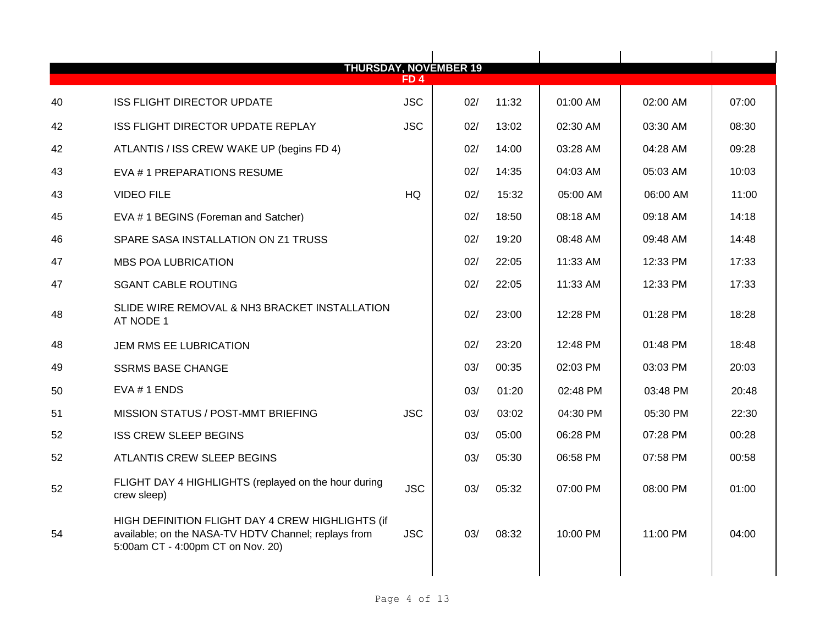| <b>THURSDAY, NOVEMBER 19</b> |                                                                                                                                               |                 |     |       |          |          |       |
|------------------------------|-----------------------------------------------------------------------------------------------------------------------------------------------|-----------------|-----|-------|----------|----------|-------|
|                              |                                                                                                                                               | FD <sub>4</sub> |     |       |          |          |       |
| 40                           | <b>ISS FLIGHT DIRECTOR UPDATE</b>                                                                                                             | <b>JSC</b>      | 02/ | 11:32 | 01:00 AM | 02:00 AM | 07:00 |
| 42                           | ISS FLIGHT DIRECTOR UPDATE REPLAY                                                                                                             | <b>JSC</b>      | 02/ | 13:02 | 02:30 AM | 03:30 AM | 08:30 |
| 42                           | ATLANTIS / ISS CREW WAKE UP (begins FD 4)                                                                                                     |                 | 02/ | 14:00 | 03:28 AM | 04:28 AM | 09:28 |
| 43                           | EVA #1 PREPARATIONS RESUME                                                                                                                    |                 | 02/ | 14:35 | 04:03 AM | 05:03 AM | 10:03 |
| 43                           | <b>VIDEO FILE</b>                                                                                                                             | <b>HQ</b>       | 02/ | 15:32 | 05:00 AM | 06:00 AM | 11:00 |
| 45                           | EVA # 1 BEGINS (Foreman and Satcher)                                                                                                          |                 | 02/ | 18:50 | 08:18 AM | 09:18 AM | 14:18 |
| 46                           | SPARE SASA INSTALLATION ON Z1 TRUSS                                                                                                           |                 | 02/ | 19:20 | 08:48 AM | 09:48 AM | 14:48 |
| 47                           | <b>MBS POA LUBRICATION</b>                                                                                                                    |                 | 02/ | 22:05 | 11:33 AM | 12:33 PM | 17:33 |
| 47                           | <b>SGANT CABLE ROUTING</b>                                                                                                                    |                 | 02/ | 22:05 | 11:33 AM | 12:33 PM | 17:33 |
| 48                           | SLIDE WIRE REMOVAL & NH3 BRACKET INSTALLATION<br>AT NODE 1                                                                                    |                 | 02/ | 23:00 | 12:28 PM | 01:28 PM | 18:28 |
| 48                           | JEM RMS EE LUBRICATION                                                                                                                        |                 | 02/ | 23:20 | 12:48 PM | 01:48 PM | 18:48 |
| 49                           | <b>SSRMS BASE CHANGE</b>                                                                                                                      |                 | 03/ | 00:35 | 02:03 PM | 03:03 PM | 20:03 |
| 50                           | $EVA # 1$ ENDS                                                                                                                                |                 | 03/ | 01:20 | 02:48 PM | 03:48 PM | 20:48 |
| 51                           | MISSION STATUS / POST-MMT BRIEFING                                                                                                            | <b>JSC</b>      | 03/ | 03:02 | 04:30 PM | 05:30 PM | 22:30 |
| 52                           | <b>ISS CREW SLEEP BEGINS</b>                                                                                                                  |                 | 03/ | 05:00 | 06:28 PM | 07:28 PM | 00:28 |
| 52                           | ATLANTIS CREW SLEEP BEGINS                                                                                                                    |                 | 03/ | 05:30 | 06:58 PM | 07:58 PM | 00:58 |
| 52                           | FLIGHT DAY 4 HIGHLIGHTS (replayed on the hour during<br>crew sleep)                                                                           | <b>JSC</b>      | 03/ | 05:32 | 07:00 PM | 08:00 PM | 01:00 |
| 54                           | HIGH DEFINITION FLIGHT DAY 4 CREW HIGHLIGHTS (if<br>available; on the NASA-TV HDTV Channel; replays from<br>5:00am CT - 4:00pm CT on Nov. 20) | <b>JSC</b>      | 03/ | 08:32 | 10:00 PM | 11:00 PM | 04:00 |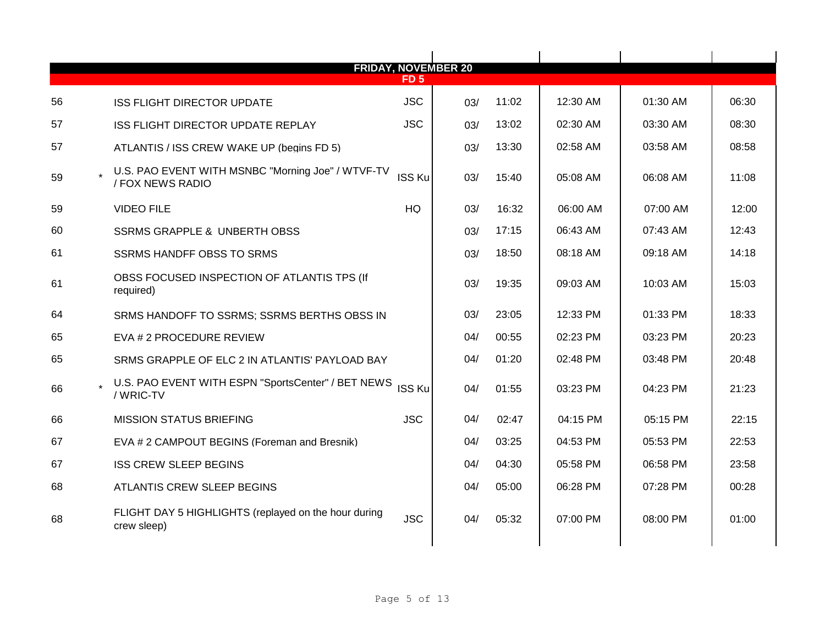|    | <b>FRIDAY, NOVEMBER 20</b>                                            |               |     |       |          |          |       |
|----|-----------------------------------------------------------------------|---------------|-----|-------|----------|----------|-------|
|    |                                                                       | <b>FD 5</b>   |     |       |          |          |       |
| 56 | <b>ISS FLIGHT DIRECTOR UPDATE</b>                                     | <b>JSC</b>    | 03/ | 11:02 | 12:30 AM | 01:30 AM | 06:30 |
| 57 | ISS FLIGHT DIRECTOR UPDATE REPLAY                                     | <b>JSC</b>    | 03/ | 13:02 | 02:30 AM | 03:30 AM | 08:30 |
| 57 | ATLANTIS / ISS CREW WAKE UP (begins FD 5)                             |               | 03/ | 13:30 | 02:58 AM | 03:58 AM | 08:58 |
| 59 | U.S. PAO EVENT WITH MSNBC "Morning Joe" / WTVF-TV<br>/ FOX NEWS RADIO | <b>ISS Ku</b> | 03/ | 15:40 | 05:08 AM | 06:08 AM | 11:08 |
| 59 | <b>VIDEO FILE</b>                                                     | <b>HQ</b>     | 03/ | 16:32 | 06:00 AM | 07:00 AM | 12:00 |
| 60 | <b>SSRMS GRAPPLE &amp; UNBERTH OBSS</b>                               |               | 03/ | 17:15 | 06:43 AM | 07:43 AM | 12:43 |
| 61 | <b>SSRMS HANDFF OBSS TO SRMS</b>                                      |               | 03/ | 18:50 | 08:18 AM | 09:18 AM | 14:18 |
| 61 | OBSS FOCUSED INSPECTION OF ATLANTIS TPS (If<br>required)              |               | 03/ | 19:35 | 09:03 AM | 10:03 AM | 15:03 |
| 64 | SRMS HANDOFF TO SSRMS; SSRMS BERTHS OBSS IN                           |               | 03/ | 23:05 | 12:33 PM | 01:33 PM | 18:33 |
| 65 | EVA # 2 PROCEDURE REVIEW                                              |               | 04/ | 00:55 | 02:23 PM | 03:23 PM | 20:23 |
| 65 | SRMS GRAPPLE OF ELC 2 IN ATLANTIS' PAYLOAD BAY                        |               | 04/ | 01:20 | 02:48 PM | 03:48 PM | 20:48 |
| 66 | U.S. PAO EVENT WITH ESPN "SportsCenter" / BET NEWS<br>/ WRIC-TV       | <b>ISS Ku</b> | 04/ | 01:55 | 03:23 PM | 04:23 PM | 21:23 |
| 66 | <b>MISSION STATUS BRIEFING</b>                                        | <b>JSC</b>    | 04/ | 02:47 | 04:15 PM | 05:15 PM | 22:15 |
| 67 | EVA # 2 CAMPOUT BEGINS (Foreman and Bresnik)                          |               | 04/ | 03:25 | 04:53 PM | 05:53 PM | 22:53 |
| 67 | <b>ISS CREW SLEEP BEGINS</b>                                          |               | 04/ | 04:30 | 05:58 PM | 06:58 PM | 23:58 |
| 68 | <b>ATLANTIS CREW SLEEP BEGINS</b>                                     |               | 04/ | 05:00 | 06:28 PM | 07:28 PM | 00:28 |
| 68 | FLIGHT DAY 5 HIGHLIGHTS (replayed on the hour during<br>crew sleep)   | <b>JSC</b>    | 04/ | 05:32 | 07:00 PM | 08:00 PM | 01:00 |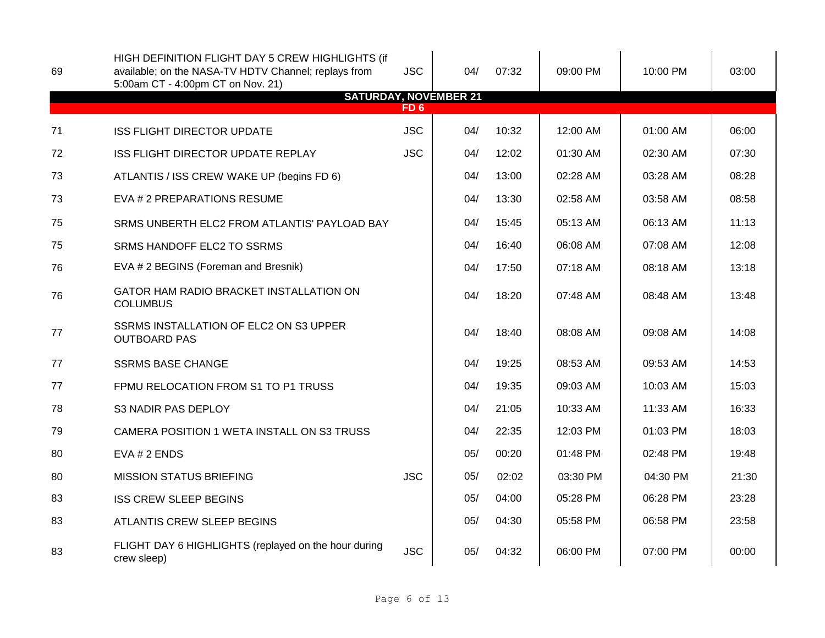| 69 | HIGH DEFINITION FLIGHT DAY 5 CREW HIGHLIGHTS (if<br>available; on the NASA-TV HDTV Channel; replays from<br>5:00am CT - 4:00pm CT on Nov. 21) | <b>JSC</b>      | 04/                          | 07:32 | 09:00 PM   | 10:00 PM | 03:00 |
|----|-----------------------------------------------------------------------------------------------------------------------------------------------|-----------------|------------------------------|-------|------------|----------|-------|
|    |                                                                                                                                               | FD <sub>6</sub> | <b>SATURDAY, NOVEMBER 21</b> |       |            |          |       |
| 71 | <b>ISS FLIGHT DIRECTOR UPDATE</b>                                                                                                             | <b>JSC</b>      | 04/                          | 10:32 | 12:00 AM   | 01:00 AM | 06:00 |
| 72 | ISS FLIGHT DIRECTOR UPDATE REPLAY                                                                                                             | <b>JSC</b>      | 04/                          | 12:02 | $01:30$ AM | 02:30 AM | 07:30 |
| 73 | ATLANTIS / ISS CREW WAKE UP (begins FD 6)                                                                                                     |                 | 04/                          | 13:00 | 02:28 AM   | 03:28 AM | 08:28 |
| 73 | EVA # 2 PREPARATIONS RESUME                                                                                                                   |                 | 04/                          | 13:30 | 02:58 AM   | 03:58 AM | 08:58 |
| 75 | SRMS UNBERTH ELC2 FROM ATLANTIS' PAYLOAD BAY                                                                                                  |                 | 04/                          | 15:45 | 05:13 AM   | 06:13 AM | 11:13 |
| 75 | SRMS HANDOFF ELC2 TO SSRMS                                                                                                                    |                 | 04/                          | 16:40 | 06:08 AM   | 07:08 AM | 12:08 |
| 76 | EVA # 2 BEGINS (Foreman and Bresnik)                                                                                                          |                 | 04/                          | 17:50 | 07:18 AM   | 08:18 AM | 13:18 |
| 76 | GATOR HAM RADIO BRACKET INSTALLATION ON<br><b>COLUMBUS</b>                                                                                    |                 | 04/                          | 18:20 | 07:48 AM   | 08:48 AM | 13:48 |
| 77 | SSRMS INSTALLATION OF ELC2 ON S3 UPPER<br><b>OUTBOARD PAS</b>                                                                                 |                 | 04/                          | 18:40 | 08:08 AM   | 09:08 AM | 14:08 |
| 77 | <b>SSRMS BASE CHANGE</b>                                                                                                                      |                 | 04/                          | 19:25 | 08:53 AM   | 09:53 AM | 14:53 |
| 77 | FPMU RELOCATION FROM S1 TO P1 TRUSS                                                                                                           |                 | 04/                          | 19:35 | 09:03 AM   | 10:03 AM | 15:03 |
| 78 | <b>S3 NADIR PAS DEPLOY</b>                                                                                                                    |                 | 04/                          | 21:05 | 10:33 AM   | 11:33 AM | 16:33 |
| 79 | CAMERA POSITION 1 WETA INSTALL ON S3 TRUSS                                                                                                    |                 | 04/                          | 22:35 | 12:03 PM   | 01:03 PM | 18:03 |
| 80 | EVA # 2 ENDS                                                                                                                                  |                 | 05/                          | 00:20 | 01:48 PM   | 02:48 PM | 19:48 |
| 80 | <b>MISSION STATUS BRIEFING</b>                                                                                                                | <b>JSC</b>      | 05/                          | 02:02 | 03:30 PM   | 04:30 PM | 21:30 |
| 83 | <b>ISS CREW SLEEP BEGINS</b>                                                                                                                  |                 | 05/                          | 04:00 | 05:28 PM   | 06:28 PM | 23:28 |
| 83 | ATLANTIS CREW SLEEP BEGINS                                                                                                                    |                 | 05/                          | 04:30 | 05:58 PM   | 06:58 PM | 23:58 |
| 83 | FLIGHT DAY 6 HIGHLIGHTS (replayed on the hour during<br>crew sleep)                                                                           | <b>JSC</b>      | 05/                          | 04:32 | 06:00 PM   | 07:00 PM | 00:00 |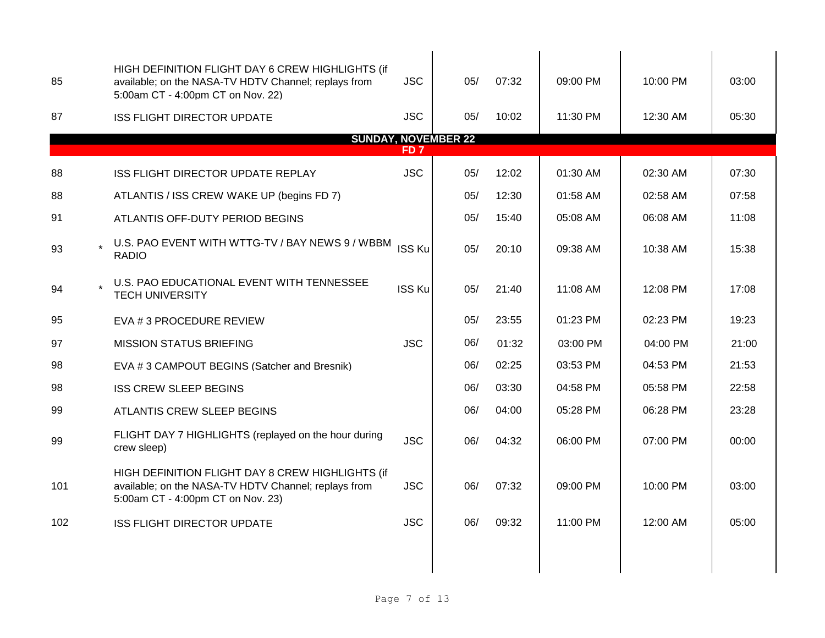| 85                                            | HIGH DEFINITION FLIGHT DAY 6 CREW HIGHLIGHTS (if<br>available; on the NASA-TV HDTV Channel; replays from<br>5:00am CT - 4:00pm CT on Nov. 22) | <b>JSC</b>    | 05/ | 07:32 | 09:00 PM | 10:00 PM | 03:00 |  |  |  |
|-----------------------------------------------|-----------------------------------------------------------------------------------------------------------------------------------------------|---------------|-----|-------|----------|----------|-------|--|--|--|
| 87                                            | <b>ISS FLIGHT DIRECTOR UPDATE</b>                                                                                                             | <b>JSC</b>    | 05/ | 10:02 | 11:30 PM | 12:30 AM | 05:30 |  |  |  |
| <b>SUNDAY, NOVEMBER 22</b><br>FD <sub>7</sub> |                                                                                                                                               |               |     |       |          |          |       |  |  |  |
| 88                                            | ISS FLIGHT DIRECTOR UPDATE REPLAY                                                                                                             | <b>JSC</b>    | 05/ | 12:02 | 01:30 AM | 02:30 AM | 07:30 |  |  |  |
| 88                                            | ATLANTIS / ISS CREW WAKE UP (begins FD 7)                                                                                                     |               | 05/ | 12:30 | 01:58 AM | 02:58 AM | 07:58 |  |  |  |
| 91                                            | ATLANTIS OFF-DUTY PERIOD BEGINS                                                                                                               |               | 05/ | 15:40 | 05:08 AM | 06:08 AM | 11:08 |  |  |  |
| 93                                            | U.S. PAO EVENT WITH WTTG-TV / BAY NEWS 9 / WBBM<br><b>RADIO</b>                                                                               | ISS Ku        | 05/ | 20:10 | 09:38 AM | 10:38 AM | 15:38 |  |  |  |
| 94                                            | U.S. PAO EDUCATIONAL EVENT WITH TENNESSEE<br><b>TECH UNIVERSITY</b>                                                                           | <b>ISS Ku</b> | 05/ | 21:40 | 11:08 AM | 12:08 PM | 17:08 |  |  |  |
| 95                                            | EVA # 3 PROCEDURE REVIEW                                                                                                                      |               | 05/ | 23:55 | 01:23 PM | 02:23 PM | 19:23 |  |  |  |
| 97                                            | <b>MISSION STATUS BRIEFING</b>                                                                                                                | <b>JSC</b>    | 06/ | 01:32 | 03:00 PM | 04:00 PM | 21:00 |  |  |  |
| 98                                            | EVA #3 CAMPOUT BEGINS (Satcher and Bresnik)                                                                                                   |               | 06/ | 02:25 | 03:53 PM | 04:53 PM | 21:53 |  |  |  |
| 98                                            | <b>ISS CREW SLEEP BEGINS</b>                                                                                                                  |               | 06/ | 03:30 | 04:58 PM | 05:58 PM | 22:58 |  |  |  |
| 99                                            | ATLANTIS CREW SLEEP BEGINS                                                                                                                    |               | 06/ | 04:00 | 05:28 PM | 06:28 PM | 23:28 |  |  |  |
| 99                                            | FLIGHT DAY 7 HIGHLIGHTS (replayed on the hour during<br>crew sleep)                                                                           | <b>JSC</b>    | 06/ | 04:32 | 06:00 PM | 07:00 PM | 00:00 |  |  |  |
| 101                                           | HIGH DEFINITION FLIGHT DAY 8 CREW HIGHLIGHTS (if<br>available; on the NASA-TV HDTV Channel; replays from<br>5:00am CT - 4:00pm CT on Nov. 23) | <b>JSC</b>    | 06/ | 07:32 | 09:00 PM | 10:00 PM | 03:00 |  |  |  |
| 102                                           | <b>ISS FLIGHT DIRECTOR UPDATE</b>                                                                                                             | <b>JSC</b>    | 06/ | 09:32 | 11:00 PM | 12:00 AM | 05:00 |  |  |  |
|                                               |                                                                                                                                               |               |     |       |          |          |       |  |  |  |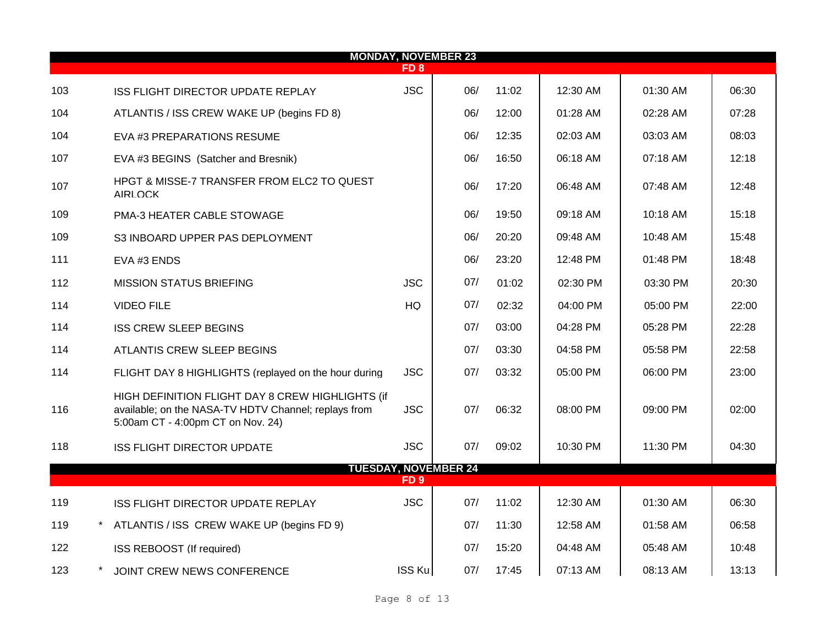|     | <b>MONDAY, NOVEMBER 23</b> |                                                                                                                                               |                 |                             |       |          |            |       |  |  |  |  |
|-----|----------------------------|-----------------------------------------------------------------------------------------------------------------------------------------------|-----------------|-----------------------------|-------|----------|------------|-------|--|--|--|--|
|     |                            |                                                                                                                                               | FD 8            |                             |       |          |            |       |  |  |  |  |
| 103 |                            | ISS FLIGHT DIRECTOR UPDATE REPLAY                                                                                                             | <b>JSC</b>      | 06/                         | 11:02 | 12:30 AM | 01:30 AM   | 06:30 |  |  |  |  |
| 104 |                            | ATLANTIS / ISS CREW WAKE UP (begins FD 8)                                                                                                     |                 | 06/                         | 12:00 | 01:28 AM | 02:28 AM   | 07:28 |  |  |  |  |
| 104 |                            | EVA #3 PREPARATIONS RESUME                                                                                                                    |                 | 06/                         | 12:35 | 02:03 AM | 03:03 AM   | 08:03 |  |  |  |  |
| 107 |                            | EVA #3 BEGINS (Satcher and Bresnik)                                                                                                           |                 | 06/                         | 16:50 | 06:18 AM | 07:18 AM   | 12:18 |  |  |  |  |
| 107 |                            | HPGT & MISSE-7 TRANSFER FROM ELC2 TO QUEST<br><b>AIRLOCK</b>                                                                                  |                 | 06/                         | 17:20 | 06:48 AM | 07:48 AM   | 12:48 |  |  |  |  |
| 109 |                            | PMA-3 HEATER CABLE STOWAGE                                                                                                                    |                 | 06/                         | 19:50 | 09:18 AM | $10:18$ AM | 15:18 |  |  |  |  |
| 109 |                            | S3 INBOARD UPPER PAS DEPLOYMENT                                                                                                               |                 | 06/                         | 20:20 | 09:48 AM | 10:48 AM   | 15:48 |  |  |  |  |
| 111 |                            | EVA #3 ENDS                                                                                                                                   |                 | 06/                         | 23:20 | 12:48 PM | $01:48$ PM | 18:48 |  |  |  |  |
| 112 |                            | <b>MISSION STATUS BRIEFING</b>                                                                                                                | <b>JSC</b>      | 07/                         | 01:02 | 02:30 PM | 03:30 PM   | 20:30 |  |  |  |  |
| 114 |                            | <b>VIDEO FILE</b>                                                                                                                             | <b>HQ</b>       | 07/                         | 02:32 | 04:00 PM | 05:00 PM   | 22:00 |  |  |  |  |
| 114 |                            | <b>ISS CREW SLEEP BEGINS</b>                                                                                                                  |                 | 07/                         | 03:00 | 04:28 PM | 05:28 PM   | 22:28 |  |  |  |  |
| 114 |                            | ATLANTIS CREW SLEEP BEGINS                                                                                                                    |                 | 07/                         | 03:30 | 04:58 PM | 05:58 PM   | 22:58 |  |  |  |  |
| 114 |                            | FLIGHT DAY 8 HIGHLIGHTS (replayed on the hour during                                                                                          | <b>JSC</b>      | 07/                         | 03:32 | 05:00 PM | 06:00 PM   | 23:00 |  |  |  |  |
| 116 |                            | HIGH DEFINITION FLIGHT DAY 8 CREW HIGHLIGHTS (if<br>available; on the NASA-TV HDTV Channel; replays from<br>5:00am CT - 4:00pm CT on Nov. 24) | <b>JSC</b>      | 07/                         | 06:32 | 08:00 PM | 09:00 PM   | 02:00 |  |  |  |  |
| 118 |                            | <b>ISS FLIGHT DIRECTOR UPDATE</b>                                                                                                             | <b>JSC</b>      | 07/                         | 09:02 | 10:30 PM | 11:30 PM   | 04:30 |  |  |  |  |
|     |                            |                                                                                                                                               |                 | <b>TUESDAY, NOVEMBER 24</b> |       |          |            |       |  |  |  |  |
|     |                            |                                                                                                                                               | FD <sub>9</sub> |                             |       |          |            |       |  |  |  |  |
| 119 |                            | ISS FLIGHT DIRECTOR UPDATE REPLAY                                                                                                             | <b>JSC</b>      | 07/                         | 11:02 | 12:30 AM | 01:30 AM   | 06:30 |  |  |  |  |
| 119 |                            | ATLANTIS / ISS CREW WAKE UP (begins FD 9)                                                                                                     |                 | 07/                         | 11:30 | 12:58 AM | 01:58 AM   | 06:58 |  |  |  |  |
| 122 |                            | ISS REBOOST (If required)                                                                                                                     |                 | 07/                         | 15:20 | 04:48 AM | 05:48 AM   | 10:48 |  |  |  |  |
| 123 |                            | JOINT CREW NEWS CONFERENCE                                                                                                                    | ISS Ku          | 07/                         | 17:45 | 07:13 AM | 08:13 AM   | 13:13 |  |  |  |  |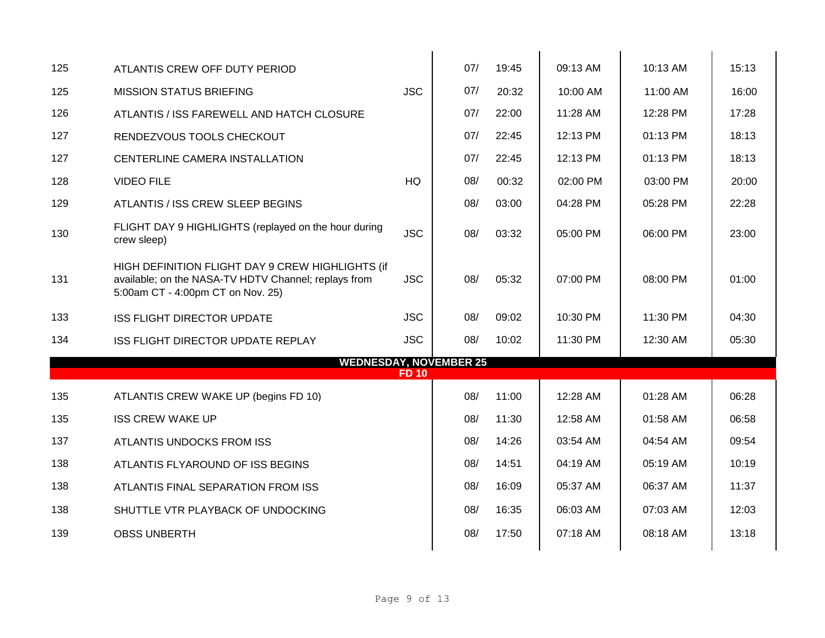| 125 | ATLANTIS CREW OFF DUTY PERIOD                                                                                                                 |              | 07/ | 19:45 | 09:13 AM | $10:13$ AM | 15:13 |
|-----|-----------------------------------------------------------------------------------------------------------------------------------------------|--------------|-----|-------|----------|------------|-------|
| 125 | <b>MISSION STATUS BRIEFING</b>                                                                                                                | <b>JSC</b>   | 07/ | 20:32 | 10:00 AM | 11:00 AM   | 16:00 |
| 126 | ATLANTIS / ISS FAREWELL AND HATCH CLOSURE                                                                                                     |              | 07/ | 22:00 | 11:28 AM | 12:28 PM   | 17:28 |
| 127 | RENDEZVOUS TOOLS CHECKOUT                                                                                                                     |              | 07/ | 22:45 | 12:13 PM | 01:13 PM   | 18:13 |
| 127 | CENTERLINE CAMERA INSTALLATION                                                                                                                |              | 07/ | 22:45 | 12:13 PM | 01:13 PM   | 18:13 |
| 128 | <b>VIDEO FILE</b>                                                                                                                             | <b>HQ</b>    | 08/ | 00:32 | 02:00 PM | 03:00 PM   | 20:00 |
| 129 | ATLANTIS / ISS CREW SLEEP BEGINS                                                                                                              |              | 08/ | 03:00 | 04:28 PM | 05:28 PM   | 22:28 |
| 130 | FLIGHT DAY 9 HIGHLIGHTS (replayed on the hour during<br>crew sleep)                                                                           | <b>JSC</b>   | 08/ | 03:32 | 05:00 PM | 06:00 PM   | 23:00 |
| 131 | HIGH DEFINITION FLIGHT DAY 9 CREW HIGHLIGHTS (if<br>available; on the NASA-TV HDTV Channel; replays from<br>5:00am CT - 4:00pm CT on Nov. 25) | <b>JSC</b>   | 08/ | 05:32 | 07:00 PM | 08:00 PM   | 01:00 |
| 133 | <b>ISS FLIGHT DIRECTOR UPDATE</b>                                                                                                             | <b>JSC</b>   | 08/ | 09:02 | 10:30 PM | 11:30 PM   | 04:30 |
| 134 | ISS FLIGHT DIRECTOR UPDATE REPLAY                                                                                                             | <b>JSC</b>   | 08/ | 10:02 | 11:30 PM | 12:30 AM   | 05:30 |
|     | <b>WEDNESDAY, NOVEMBER 25</b>                                                                                                                 | <b>FD 10</b> |     |       |          |            |       |
| 135 | ATLANTIS CREW WAKE UP (begins FD 10)                                                                                                          |              | 08/ | 11:00 | 12:28 AM | 01:28 AM   | 06:28 |
| 135 | <b>ISS CREW WAKE UP</b>                                                                                                                       |              | 08/ | 11:30 | 12:58 AM | $01:58$ AM | 06:58 |
| 137 | ATLANTIS UNDOCKS FROM ISS                                                                                                                     |              | 08/ | 14:26 | 03:54 AM | 04:54 AM   | 09:54 |
| 138 | ATLANTIS FLYAROUND OF ISS BEGINS                                                                                                              |              | 08/ | 14:51 | 04:19 AM | 05:19 AM   | 10:19 |
| 138 | ATLANTIS FINAL SEPARATION FROM ISS                                                                                                            |              | 08/ | 16:09 | 05:37 AM | 06:37 AM   | 11:37 |
| 138 | SHUTTLE VTR PLAYBACK OF UNDOCKING                                                                                                             |              | 08/ | 16:35 | 06:03 AM | 07:03 AM   | 12:03 |
| 139 | <b>OBSS UNBERTH</b>                                                                                                                           |              | 08/ | 17:50 | 07:18 AM | 08:18 AM   | 13:18 |
|     |                                                                                                                                               |              |     |       |          |            |       |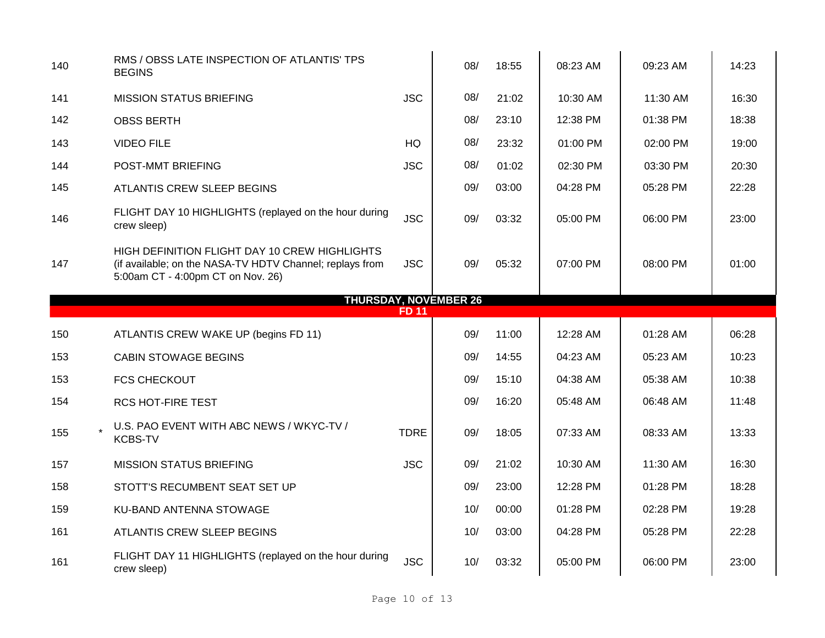| 140 | RMS / OBSS LATE INSPECTION OF ATLANTIS' TPS<br><b>BEGINS</b>                                                                                   |              | 08/                          | 18:55 | 08:23 AM | 09:23 AM | 14:23 |
|-----|------------------------------------------------------------------------------------------------------------------------------------------------|--------------|------------------------------|-------|----------|----------|-------|
| 141 | <b>MISSION STATUS BRIEFING</b>                                                                                                                 | <b>JSC</b>   | 08/                          | 21:02 | 10:30 AM | 11:30 AM | 16:30 |
| 142 | <b>OBSS BERTH</b>                                                                                                                              |              | 08/                          | 23:10 | 12:38 PM | 01:38 PM | 18:38 |
| 143 | <b>VIDEO FILE</b>                                                                                                                              | HQ           | 08/                          | 23:32 | 01:00 PM | 02:00 PM | 19:00 |
| 144 | POST-MMT BRIEFING                                                                                                                              | <b>JSC</b>   | 08/                          | 01:02 | 02:30 PM | 03:30 PM | 20:30 |
| 145 | ATLANTIS CREW SLEEP BEGINS                                                                                                                     |              | 09/                          | 03:00 | 04:28 PM | 05:28 PM | 22:28 |
| 146 | FLIGHT DAY 10 HIGHLIGHTS (replayed on the hour during<br>crew sleep)                                                                           | <b>JSC</b>   | 09/                          | 03:32 | 05:00 PM | 06:00 PM | 23:00 |
| 147 | HIGH DEFINITION FLIGHT DAY 10 CREW HIGHLIGHTS<br>(if available; on the NASA-TV HDTV Channel; replays from<br>5:00am CT - 4:00pm CT on Nov. 26) | <b>JSC</b>   | 09/                          | 05:32 | 07:00 PM | 08:00 PM | 01:00 |
|     |                                                                                                                                                | <b>FD 11</b> | <b>THURSDAY, NOVEMBER 26</b> |       |          |          |       |
| 150 | ATLANTIS CREW WAKE UP (begins FD 11)                                                                                                           |              | 09/                          | 11:00 | 12:28 AM | 01:28 AM | 06:28 |
|     |                                                                                                                                                |              |                              |       |          |          |       |
| 153 |                                                                                                                                                |              |                              |       |          |          |       |
|     | <b>CABIN STOWAGE BEGINS</b>                                                                                                                    |              | 09/                          | 14:55 | 04:23 AM | 05:23 AM | 10:23 |
| 153 | <b>FCS CHECKOUT</b>                                                                                                                            |              | 09/                          | 15:10 | 04:38 AM | 05:38 AM | 10:38 |
| 154 | <b>RCS HOT-FIRE TEST</b>                                                                                                                       |              | 09/                          | 16:20 | 05:48 AM | 06:48 AM | 11:48 |
| 155 | U.S. PAO EVENT WITH ABC NEWS / WKYC-TV /<br><b>KCBS-TV</b>                                                                                     | <b>TDRE</b>  | 09/                          | 18:05 | 07:33 AM | 08:33 AM | 13:33 |
| 157 | <b>MISSION STATUS BRIEFING</b>                                                                                                                 | <b>JSC</b>   | 09/                          | 21:02 | 10:30 AM | 11:30 AM | 16:30 |
| 158 | STOTT'S RECUMBENT SEAT SET UP                                                                                                                  |              | 09/                          | 23:00 | 12:28 PM | 01:28 PM | 18:28 |
| 159 | KU-BAND ANTENNA STOWAGE                                                                                                                        |              | 10/                          | 00:00 | 01:28 PM | 02:28 PM | 19:28 |
| 161 | ATLANTIS CREW SLEEP BEGINS                                                                                                                     |              | 10/                          | 03:00 | 04:28 PM | 05:28 PM | 22:28 |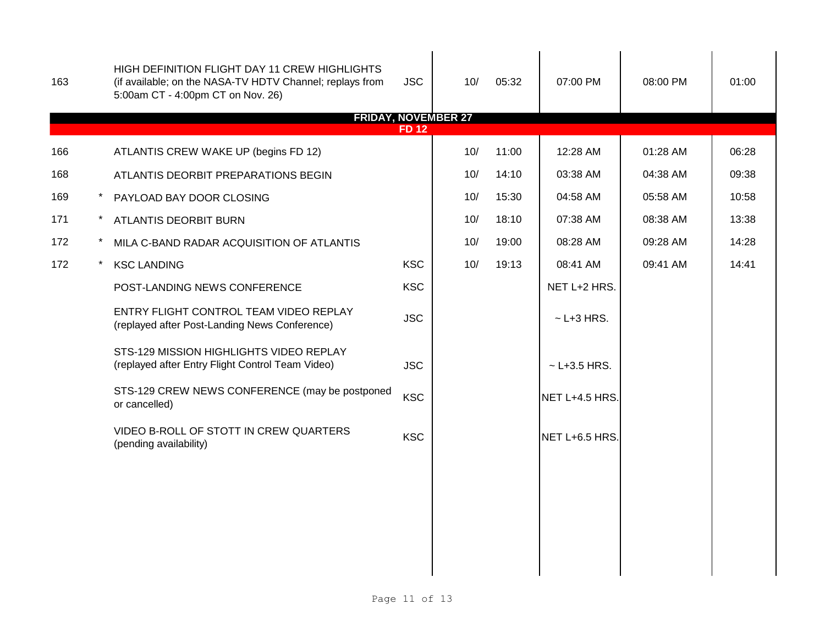| 163 |         | HIGH DEFINITION FLIGHT DAY 11 CREW HIGHLIGHTS<br>(if available; on the NASA-TV HDTV Channel; replays from<br>5:00am CT - 4:00pm CT on Nov. 26)<br><b>FRIDAY, NOVEMBER 27</b> | <b>JSC</b>  | 10/ | 05:32 | 07:00 PM         | 08:00 PM | 01:00 |
|-----|---------|------------------------------------------------------------------------------------------------------------------------------------------------------------------------------|-------------|-----|-------|------------------|----------|-------|
|     |         |                                                                                                                                                                              | <b>FD12</b> |     |       |                  |          |       |
| 166 |         | ATLANTIS CREW WAKE UP (begins FD 12)                                                                                                                                         |             | 10/ | 11:00 | 12:28 AM         | 01:28 AM | 06:28 |
| 168 |         | ATLANTIS DEORBIT PREPARATIONS BEGIN                                                                                                                                          |             | 10/ | 14:10 | 03:38 AM         | 04:38 AM | 09:38 |
| 169 | $\star$ | PAYLOAD BAY DOOR CLOSING                                                                                                                                                     |             | 10/ | 15:30 | 04:58 AM         | 05:58 AM | 10:58 |
| 171 | $\star$ | <b>ATLANTIS DEORBIT BURN</b>                                                                                                                                                 |             | 10/ | 18:10 | 07:38 AM         | 08:38 AM | 13:38 |
| 172 |         | MILA C-BAND RADAR ACQUISITION OF ATLANTIS                                                                                                                                    |             | 10/ | 19:00 | 08:28 AM         | 09:28 AM | 14:28 |
| 172 |         | <b>KSC LANDING</b>                                                                                                                                                           | <b>KSC</b>  | 10/ | 19:13 | 08:41 AM         | 09:41 AM | 14:41 |
|     |         | POST-LANDING NEWS CONFERENCE                                                                                                                                                 | <b>KSC</b>  |     |       | NET L+2 HRS.     |          |       |
|     |         | ENTRY FLIGHT CONTROL TEAM VIDEO REPLAY<br>(replayed after Post-Landing News Conference)                                                                                      | <b>JSC</b>  |     |       | $\sim$ L+3 HRS.  |          |       |
|     |         | STS-129 MISSION HIGHLIGHTS VIDEO REPLAY<br>(replayed after Entry Flight Control Team Video)                                                                                  | <b>JSC</b>  |     |       | $~$ - L+3.5 HRS. |          |       |
|     |         | STS-129 CREW NEWS CONFERENCE (may be postponed<br>or cancelled)                                                                                                              | <b>KSC</b>  |     |       | NET L+4.5 HRS.   |          |       |
|     |         | VIDEO B-ROLL OF STOTT IN CREW QUARTERS<br>(pending availability)                                                                                                             | <b>KSC</b>  |     |       | NET L+6.5 HRS.   |          |       |
|     |         |                                                                                                                                                                              |             |     |       |                  |          |       |
|     |         |                                                                                                                                                                              |             |     |       |                  |          |       |
|     |         |                                                                                                                                                                              |             |     |       |                  |          |       |
|     |         |                                                                                                                                                                              |             |     |       |                  |          |       |
|     |         |                                                                                                                                                                              |             |     |       |                  |          |       |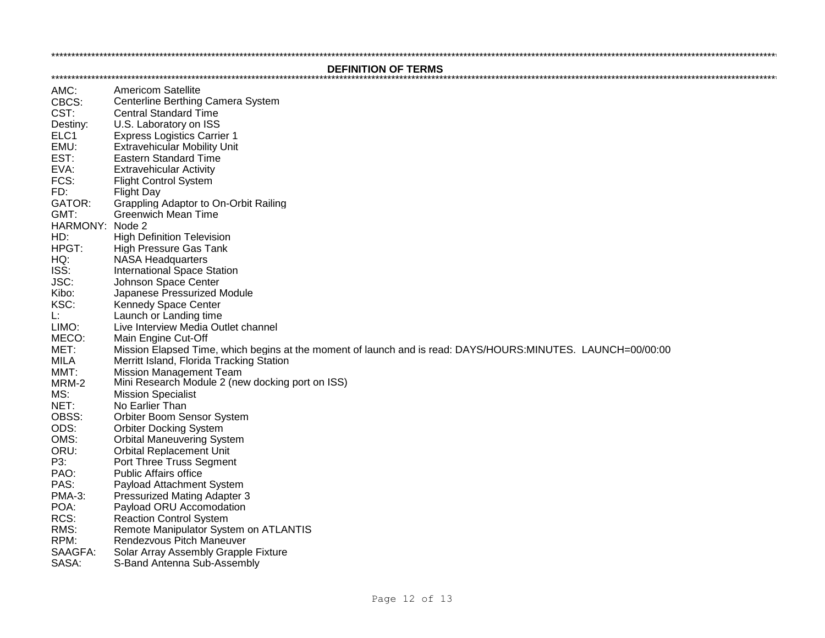**DEFINITION OF TERMS** 

AMC: **Americom Satellite** CBCS: Centerline Berthing Camera System CST: **Central Standard Time** Destiny: U.S. Laboratory on ISS ELC<sub>1</sub> **Express Logistics Carrier 1** EMU: **Extravehicular Mobility Unit**  $EST:$ **Eastern Standard Time** EVA: **Extravehicular Activity**  $FCS:$ **Flight Control System**  $FD^+$ **Flight Day** GATOR: Grappling Adaptor to On-Orbit Railing  $GMT$ : Greenwich Mean Time HARMONY: Node 2 **High Definition Television**  $HD:$  $HPGT$ **High Pressure Gas Tank NASA Headquarters**  $HO:$ **International Space Station** ISS: Johnson Space Center JSC: Kibo: Japanese Pressurized Module KSC<sup>.</sup> **Kennedy Space Center** Ŀ. Launch or Landing time **I IMO:** Live Interview Media Outlet channel MECO: Main Engine Cut-Off  $MET:$ Mission Elapsed Time, which begins at the moment of launch and is read: DAYS/HOURS:MINUTES. LAUNCH=00/00:00 Merritt Island, Florida Tracking Station MII A  $MMT:$ **Mission Management Team**  $MRM-2$ Mini Research Module 2 (new docking port on ISS) MS: **Mission Specialist**  $NET:$ No Earlier Than OBSS: Orbiter Boom Sensor System  $ODS:$ **Orbiter Docking System** OMS: **Orbital Maneuvering System** ORU: **Orbital Replacement Unit** P3: Port Three Truss Segment  $PAO$ Public Affairs office PAS: Pavload Attachment System **PMA-3: Pressurized Mating Adapter 3** POA: Payload ORU Accomodation RCS: **Reaction Control System** Remote Manipulator System on ATLANTIS RMS: RPM: Rendezvous Pitch Maneuver SAAGFA: Solar Array Assembly Grapple Fixture SASA: S-Band Antenna Sub-Assembly